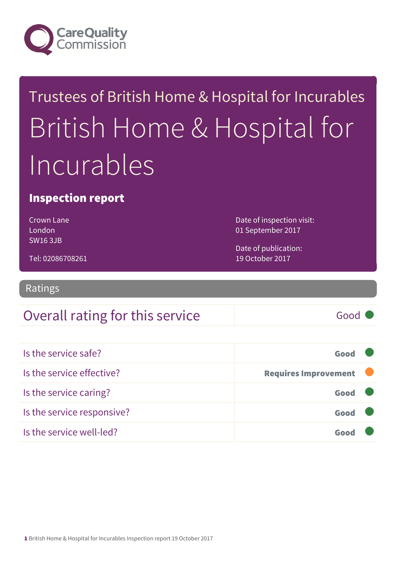

## Trustees of British Home & Hospital for Incurables British Home & Hospital for Incurables

#### Inspection report

Crown Lane London SW16 3JB

Date of inspection visit: 01 September 2017

Date of publication: 19 October 2017

Tel: 02086708261

Ratings

#### Overall rating for this service Fig. 600 Good

| Is the service safe?       | Good                        |  |
|----------------------------|-----------------------------|--|
| Is the service effective?  | <b>Requires Improvement</b> |  |
| Is the service caring?     | Good                        |  |
| Is the service responsive? | Good                        |  |
| Is the service well-led?   |                             |  |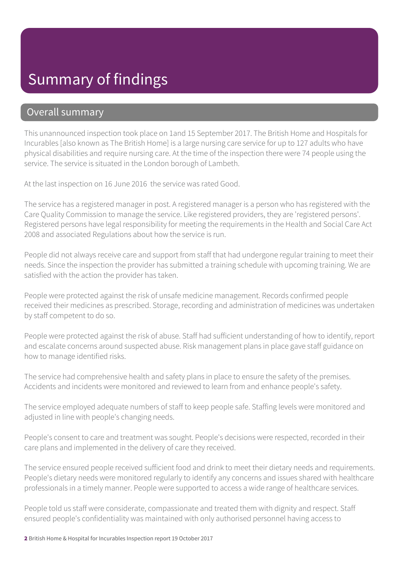#### Summary of findings

#### Overall summary

This unannounced inspection took place on 1and 15 September 2017. The British Home and Hospitals for Incurables [also known as The British Home] is a large nursing care service for up to 127 adults who have physical disabilities and require nursing care. At the time of the inspection there were 74 people using the service. The service is situated in the London borough of Lambeth.

At the last inspection on 16 June 2016 the service was rated Good.

The service has a registered manager in post. A registered manager is a person who has registered with the Care Quality Commission to manage the service. Like registered providers, they are 'registered persons'. Registered persons have legal responsibility for meeting the requirements in the Health and Social Care Act 2008 and associated Regulations about how the service is run.

People did not always receive care and support from staff that had undergone regular training to meet their needs. Since the inspection the provider has submitted a training schedule with upcoming training. We are satisfied with the action the provider has taken.

People were protected against the risk of unsafe medicine management. Records confirmed people received their medicines as prescribed. Storage, recording and administration of medicines was undertaken by staff competent to do so.

People were protected against the risk of abuse. Staff had sufficient understanding of how to identify, report and escalate concerns around suspected abuse. Risk management plans in place gave staff guidance on how to manage identified risks.

The service had comprehensive health and safety plans in place to ensure the safety of the premises. Accidents and incidents were monitored and reviewed to learn from and enhance people's safety.

The service employed adequate numbers of staff to keep people safe. Staffing levels were monitored and adjusted in line with people's changing needs.

People's consent to care and treatment was sought. People's decisions were respected, recorded in their care plans and implemented in the delivery of care they received.

The service ensured people received sufficient food and drink to meet their dietary needs and requirements. People's dietary needs were monitored regularly to identify any concerns and issues shared with healthcare professionals in a timely manner. People were supported to access a wide range of healthcare services.

People told us staff were considerate, compassionate and treated them with dignity and respect. Staff ensured people's confidentiality was maintained with only authorised personnel having access to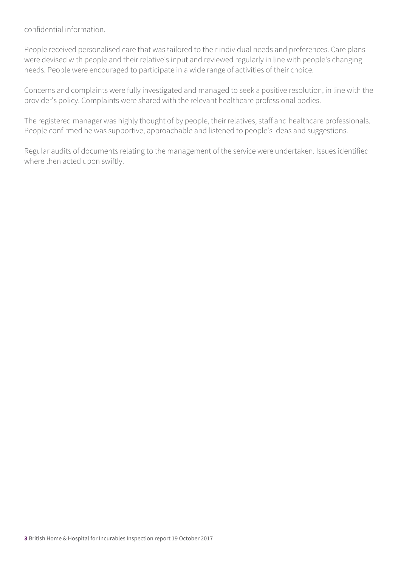confidential information.

People received personalised care that was tailored to their individual needs and preferences. Care plans were devised with people and their relative's input and reviewed regularly in line with people's changing needs. People were encouraged to participate in a wide range of activities of their choice.

Concerns and complaints were fully investigated and managed to seek a positive resolution, in line with the provider's policy. Complaints were shared with the relevant healthcare professional bodies.

The registered manager was highly thought of by people, their relatives, staff and healthcare professionals. People confirmed he was supportive, approachable and listened to people's ideas and suggestions.

Regular audits of documents relating to the management of the service were undertaken. Issues identified where then acted upon swiftly.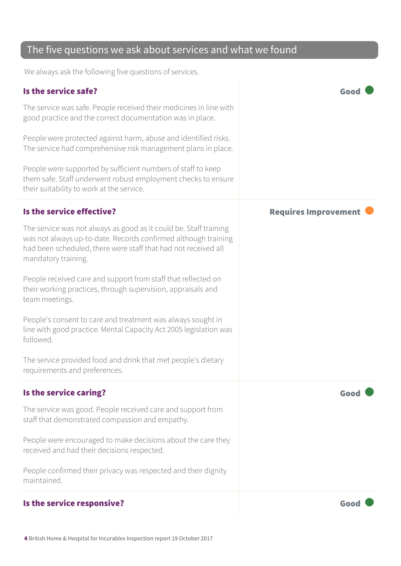#### The five questions we ask about services and what we found

We always ask the following five questions of services.

#### Is the service safe? Good The service was safe. People received their medicines in line with good practice and the correct documentation was in place. People were protected against harm, abuse and identified risks. The service had comprehensive risk management plans in place. People were supported by sufficient numbers of staff to keep them safe. Staff underwent robust employment checks to ensure their suitability to work at the service. Is the service effective? The service effective? The service was not always as good as it could be. Staff training was not always up-to-date. Records confirmed although training had been scheduled, there were staff that had not received all mandatory training. People received care and support from staff that reflected on their working practices, through supervision, appraisals and team meetings. People's consent to care and treatment was always sought in line with good practice. Mental Capacity Act 2005 legislation was followed. The service provided food and drink that met people's dietary requirements and preferences. Is the service caring? The service caring? The service was good. People received care and support from staff that demonstrated compassion and empathy. People were encouraged to make decisions about the care they received and had their decisions respected. People confirmed their privacy was respected and their dignity maintained. Is the service responsive? The service responsive?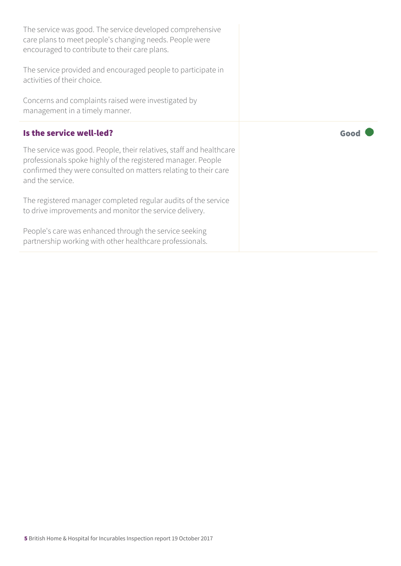| The service was good. The service developed comprehensive<br>care plans to meet people's changing needs. People were<br>encouraged to contribute to their care plans.                                                      |      |
|----------------------------------------------------------------------------------------------------------------------------------------------------------------------------------------------------------------------------|------|
| The service provided and encouraged people to participate in<br>activities of their choice.                                                                                                                                |      |
| Concerns and complaints raised were investigated by<br>management in a timely manner.                                                                                                                                      |      |
| Is the service well-led?                                                                                                                                                                                                   | Good |
|                                                                                                                                                                                                                            |      |
| The service was good. People, their relatives, staff and healthcare<br>professionals spoke highly of the registered manager. People<br>confirmed they were consulted on matters relating to their care<br>and the service. |      |

People's care was enhanced through the service seeking partnership working with other healthcare professionals.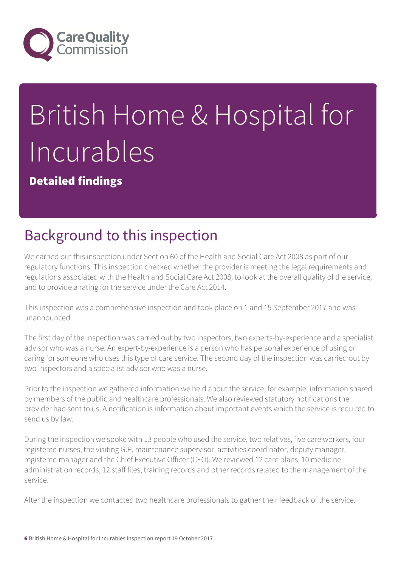

# British Home & Hospital for Incurables

Detailed findings

## Background to this inspection

We carried out this inspection under Section 60 of the Health and Social Care Act 2008 as part of our regulatory functions. This inspection checked whether the provider is meeting the legal requirements and regulations associated with the Health and Social Care Act 2008, to look at the overall quality of the service, and to provide a rating for the service under the Care Act 2014.

This inspection was a comprehensive inspection and took place on 1 and 15 September 2017 and was unannounced.

The first day of the inspection was carried out by two inspectors, two experts-by-experience and a specialist advisor who was a nurse. An expert-by-experience is a person who has personal experience of using or caring for someone who uses this type of care service. The second day of the inspection was carried out by two inspectors and a specialist advisor who was a nurse.

Prior to the inspection we gathered information we held about the service, for example, information shared by members of the public and healthcare professionals. We also reviewed statutory notifications the provider had sent to us. A notification is information about important events which the service is required to send us by law.

During the inspection we spoke with 13 people who used the service, two relatives, five care workers, four registered nurses, the visiting G.P, maintenance supervisor, activities coordinator, deputy manager, registered manager and the Chief Executive Officer (CEO). We reviewed 12 care plans, 10 medicine administration records, 12 staff files, training records and other records related to the management of the service.

After the inspection we contacted two healthcare professionals to gather their feedback of the service.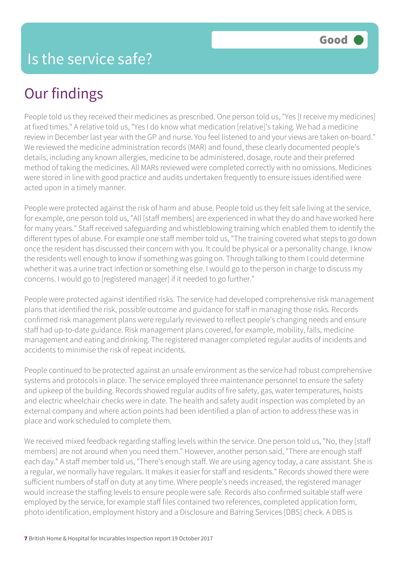## Our findings

People told us they received their medicines as prescribed. One person told us, "Yes [I receive my medicines] at fixed times." A relative told us, "Yes I do know what medication [relative]'s taking. We had a medicine review in December last year with the GP and nurse. You feel listened to and your views are taken on-board." We reviewed the medicine administration records (MAR) and found, these clearly documented people's details, including any known allergies, medicine to be administered, dosage, route and their preferred method of taking the medicines. All MARs reviewed were completed correctly with no omissions. Medicines were stored in line with good practice and audits undertaken frequently to ensure issues identified were acted upon in a timely manner.

People were protected against the risk of harm and abuse. People told us they felt safe living at the service, for example, one person told us, "All [staff members] are experienced in what they do and have worked here for many years." Staff received safeguarding and whistleblowing training which enabled them to identify the different types of abuse. For example one staff member told us, "The training covered what steps to go down once the resident has discussed their concern with you. It could be physical or a personality change. I know the residents well enough to know if something was going on. Through talking to them I could determine whether it was a urine tract infection or something else. I would go to the person in charge to discuss my concerns. I would go to [registered manager] if it needed to go further."

People were protected against identified risks. The service had developed comprehensive risk management plans that identified the risk, possible outcome and guidance for staff in managing those risks. Records confirmed risk management plans were regularly reviewed to reflect people's changing needs and ensure staff had up-to-date guidance. Risk management plans covered, for example, mobility, falls, medicine management and eating and drinking. The registered manager completed regular audits of incidents and accidents to minimise the risk of repeat incidents.

People continued to be protected against an unsafe environment as the service had robust comprehensive systems and protocols in place. The service employed three maintenance personnel to ensure the safety and upkeep of the building. Records showed regular audits of fire safety, gas, water temperatures, hoists and electric wheelchair checks were in date. The health and safety audit inspection was completed by an external company and where action points had been identified a plan of action to address these was in place and work scheduled to complete them.

We received mixed feedback regarding staffing levels within the service. One person told us, "No, they [staff members] are not around when you need them." However, another person said, "There are enough staff each day." A staff member told us, "There's enough staff. We are using agency today, a care assistant. She is a regular, we normally have regulars. It makes it easier for staff and residents." Records showed there were sufficient numbers of staff on duty at any time. Where people's needs increased, the registered manager would increase the staffing levels to ensure people were safe. Records also confirmed suitable staff were employed by the service, for example staff files contained two references, completed application form, photo identification, employment history and a Disclosure and Barring Services [DBS] check. A DBS is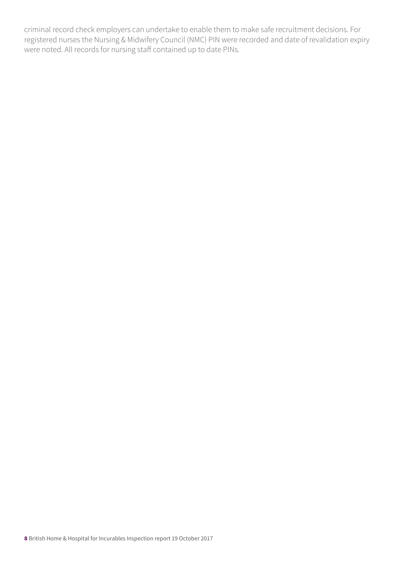criminal record check employers can undertake to enable them to make safe recruitment decisions. For registered nurses the Nursing & Midwifery Council (NMC) PIN were recorded and date of revalidation expiry were noted. All records for nursing staff contained up to date PINs.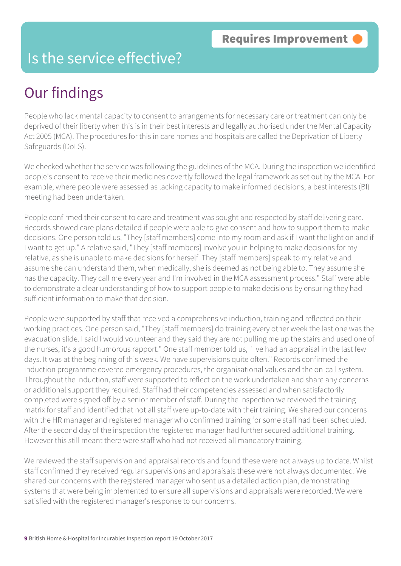#### Is the service effective?

## Our findings

People who lack mental capacity to consent to arrangements for necessary care or treatment can only be deprived of their liberty when this is in their best interests and legally authorised under the Mental Capacity Act 2005 (MCA). The procedures for this in care homes and hospitals are called the Deprivation of Liberty Safeguards (DoLS).

We checked whether the service was following the guidelines of the MCA. During the inspection we identified people's consent to receive their medicines covertly followed the legal framework as set out by the MCA. For example, where people were assessed as lacking capacity to make informed decisions, a best interests (BI) meeting had been undertaken.

People confirmed their consent to care and treatment was sought and respected by staff delivering care. Records showed care plans detailed if people were able to give consent and how to support them to make decisions. One person told us, "They [staff members] come into my room and ask if I want the light on and if I want to get up." A relative said, "They [staff members] involve you in helping to make decisions for my relative, as she is unable to make decisions for herself. They [staff members] speak to my relative and assume she can understand them, when medically, she is deemed as not being able to. They assume she has the capacity. They call me every year and I'm involved in the MCA assessment process." Staff were able to demonstrate a clear understanding of how to support people to make decisions by ensuring they had sufficient information to make that decision.

People were supported by staff that received a comprehensive induction, training and reflected on their working practices. One person said, "They [staff members] do training every other week the last one was the evacuation slide. I said I would volunteer and they said they are not pulling me up the stairs and used one of the nurses, it's a good humorous rapport." One staff member told us, "I've had an appraisal in the last few days. It was at the beginning of this week. We have supervisions quite often." Records confirmed the induction programme covered emergency procedures, the organisational values and the on-call system. Throughout the induction, staff were supported to reflect on the work undertaken and share any concerns or additional support they required. Staff had their competencies assessed and when satisfactorily completed were signed off by a senior member of staff. During the inspection we reviewed the training matrix for staff and identified that not all staff were up-to-date with their training. We shared our concerns with the HR manager and registered manager who confirmed training for some staff had been scheduled. After the second day of the inspection the registered manager had further secured additional training. However this still meant there were staff who had not received all mandatory training.

We reviewed the staff supervision and appraisal records and found these were not always up to date. Whilst staff confirmed they received regular supervisions and appraisals these were not always documented. We shared our concerns with the registered manager who sent us a detailed action plan, demonstrating systems that were being implemented to ensure all supervisions and appraisals were recorded. We were satisfied with the registered manager's response to our concerns.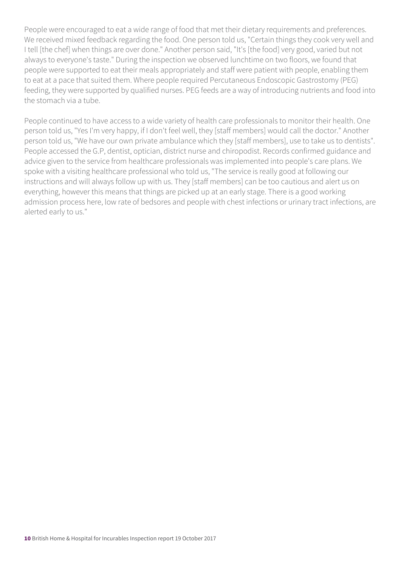People were encouraged to eat a wide range of food that met their dietary requirements and preferences. We received mixed feedback regarding the food. One person told us, "Certain things they cook very well and I tell [the chef] when things are over done." Another person said, "It's [the food] very good, varied but not always to everyone's taste." During the inspection we observed lunchtime on two floors, we found that people were supported to eat their meals appropriately and staff were patient with people, enabling them to eat at a pace that suited them. Where people required Percutaneous Endoscopic Gastrostomy (PEG) feeding, they were supported by qualified nurses. PEG feeds are a way of introducing nutrients and food into the stomach via a tube.

People continued to have access to a wide variety of health care professionals to monitor their health. One person told us, "Yes I'm very happy, if I don't feel well, they [staff members] would call the doctor." Another person told us, "We have our own private ambulance which they [staff members], use to take us to dentists". People accessed the G.P, dentist, optician, district nurse and chiropodist. Records confirmed guidance and advice given to the service from healthcare professionals was implemented into people's care plans. We spoke with a visiting healthcare professional who told us, "The service is really good at following our instructions and will always follow up with us. They [staff members] can be too cautious and alert us on everything, however this means that things are picked up at an early stage. There is a good working admission process here, low rate of bedsores and people with chest infections or urinary tract infections, are alerted early to us."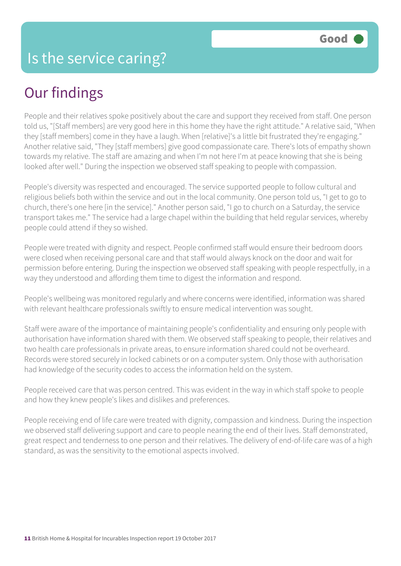## Our findings

People and their relatives spoke positively about the care and support they received from staff. One person told us, "[Staff members] are very good here in this home they have the right attitude." A relative said, "When they [staff members] come in they have a laugh. When [relative]'s a little bit frustrated they're engaging." Another relative said, "They [staff members] give good compassionate care. There's lots of empathy shown towards my relative. The staff are amazing and when I'm not here I'm at peace knowing that she is being looked after well." During the inspection we observed staff speaking to people with compassion.

People's diversity was respected and encouraged. The service supported people to follow cultural and religious beliefs both within the service and out in the local community. One person told us, "I get to go to church, there's one here [in the service]." Another person said, "I go to church on a Saturday, the service transport takes me." The service had a large chapel within the building that held regular services, whereby people could attend if they so wished.

People were treated with dignity and respect. People confirmed staff would ensure their bedroom doors were closed when receiving personal care and that staff would always knock on the door and wait for permission before entering. During the inspection we observed staff speaking with people respectfully, in a way they understood and affording them time to digest the information and respond.

People's wellbeing was monitored regularly and where concerns were identified, information was shared with relevant healthcare professionals swiftly to ensure medical intervention was sought.

Staff were aware of the importance of maintaining people's confidentiality and ensuring only people with authorisation have information shared with them. We observed staff speaking to people, their relatives and two health care professionals in private areas, to ensure information shared could not be overheard. Records were stored securely in locked cabinets or on a computer system. Only those with authorisation had knowledge of the security codes to access the information held on the system.

People received care that was person centred. This was evident in the way in which staff spoke to people and how they knew people's likes and dislikes and preferences.

People receiving end of life care were treated with dignity, compassion and kindness. During the inspection we observed staff delivering support and care to people nearing the end of their lives. Staff demonstrated, great respect and tenderness to one person and their relatives. The delivery of end-of-life care was of a high standard, as was the sensitivity to the emotional aspects involved.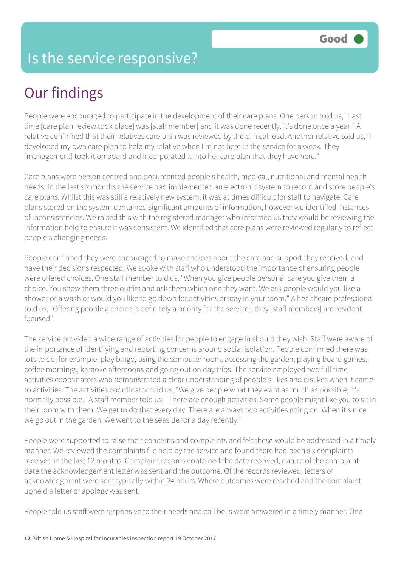#### Is the service responsive?

## Our findings

People were encouraged to participate in the development of their care plans. One person told us, "Last time [care plan review took place] was [staff member] and it was done recently. It's done once a year." A relative confirmed that their relatives care plan was reviewed by the clinical lead. Another relative told us, "I developed my own care plan to help my relative when I'm not here in the service for a week. They [management] took it on board and incorporated it into her care plan that they have here."

Care plans were person centred and documented people's health, medical, nutritional and mental health needs. In the last six months the service had implemented an electronic system to record and store people's care plans. Whilst this was still a relatively new system, it was at times difficult for staff to navigate. Care plans stored on the system contained significant amounts of information, however we identified instances of inconsistencies. We raised this with the registered manager who informed us they would be reviewing the information held to ensure it was consistent. We identified that care plans were reviewed regularly to reflect people's changing needs.

People confirmed they were encouraged to make choices about the care and support they received, and have their decisions respected. We spoke with staff who understood the importance of ensuring people were offered choices. One staff member told us, "When you give people personal care you give them a choice. You show them three outfits and ask them which one they want. We ask people would you like a shower or a wash or would you like to go down for activities or stay in your room." A healthcare professional told us, "Offering people a choice is definitely a priority for the service], they [staff members] are resident focused".

The service provided a wide range of activities for people to engage in should they wish. Staff were aware of the importance of identifying and reporting concerns around social isolation. People confirmed there was lots to do, for example, play bingo, using the computer room, accessing the garden, playing board games, coffee mornings, karaoke afternoons and going out on day trips. The service employed two full time activities coordinators who demonstrated a clear understanding of people's likes and dislikes when it came to activities. The activities coordinator told us, "We give people what they want as much as possible, it's normally possible." A staff member told us, "There are enough activities. Some people might like you to sit in their room with them. We get to do that every day. There are always two activities going on. When it's nice we go out in the garden. We went to the seaside for a day recently."

People were supported to raise their concerns and complaints and felt these would be addressed in a timely manner. We reviewed the complaints file held by the service and found there had been six complaints received in the last 12 months. Complaint records contained the date received, nature of the complaint, date the acknowledgement letter was sent and the outcome. Of the records reviewed, letters of acknowledgment were sent typically within 24 hours. Where outcomes were reached and the complaint upheld a letter of apology was sent.

People told us staff were responsive to their needs and call bells were answered in a timely manner. One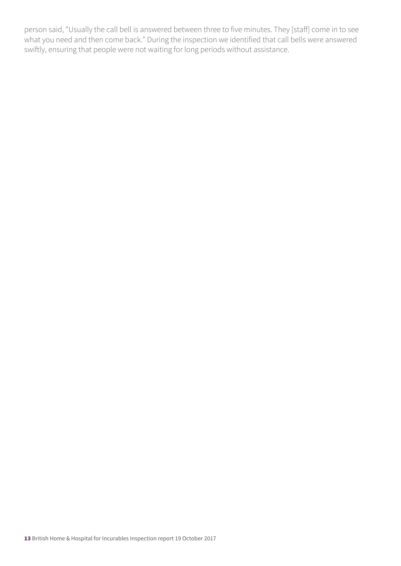person said, "Usually the call bell is answered between three to five minutes. They [staff] come in to see what you need and then come back." During the inspection we identified that call bells were answered swiftly, ensuring that people were not waiting for long periods without assistance.